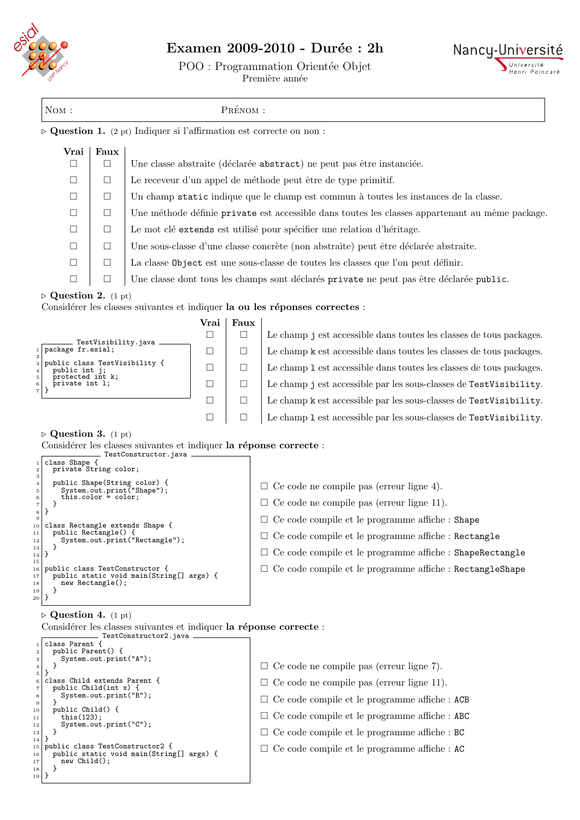

**I** 

## Examen 2009-2010 - Durée : 2h

POO : Programmation Orientée Objet



h

Première année

| NOM:                                                                                                                                                 | $\mathop{\mathrm{Pr\'e}}\nolimits_{\mathrm{NOM}}$ : |                                                                                     |                |                                                                   |                                                                                                 |  |  |  |  |
|------------------------------------------------------------------------------------------------------------------------------------------------------|-----------------------------------------------------|-------------------------------------------------------------------------------------|----------------|-------------------------------------------------------------------|-------------------------------------------------------------------------------------------------|--|--|--|--|
|                                                                                                                                                      |                                                     |                                                                                     |                |                                                                   | $\triangleright$ Question 1. (2 pt) Indiquer si l'affirmation est correcte ou non :             |  |  |  |  |
| Vrai<br>□                                                                                                                                            | Faux<br>$\Box$                                      |                                                                                     |                |                                                                   |                                                                                                 |  |  |  |  |
|                                                                                                                                                      |                                                     | Une classe abstraite (déclarée abstract) ne peut pas être instanciée.               |                |                                                                   |                                                                                                 |  |  |  |  |
| $\Box$                                                                                                                                               | $\Box$                                              | Le receveur d'un appel de méthode peut être de type primitif.                       |                |                                                                   |                                                                                                 |  |  |  |  |
| $\Box$                                                                                                                                               | $\Box$                                              |                                                                                     |                |                                                                   | Un champ static indique que le champ est commun à toutes les instances de la classe.            |  |  |  |  |
| $\Box$                                                                                                                                               | $\Box$                                              |                                                                                     |                |                                                                   | Une méthode définie private est accessible dans toutes les classes appartenant au même package. |  |  |  |  |
| ⊔                                                                                                                                                    | $\Box$                                              | Le mot clé extends est utilisé pour spécifier une relation d'héritage.              |                |                                                                   |                                                                                                 |  |  |  |  |
| □                                                                                                                                                    | $\Box$                                              | Une sous-classe d'une classe concrète (non abstraite) peut être déclarée abstraite. |                |                                                                   |                                                                                                 |  |  |  |  |
| $\Box$                                                                                                                                               | $\Box$                                              | La classe Object est une sous-classe de toutes les classes que l'on peut définir.   |                |                                                                   |                                                                                                 |  |  |  |  |
| □                                                                                                                                                    | □                                                   |                                                                                     |                |                                                                   | Une classe dont tous les champs sont déclarés private ne peut pas être déclarée public.         |  |  |  |  |
| $\triangleright$ Question 2. (1 pt)                                                                                                                  |                                                     |                                                                                     |                |                                                                   |                                                                                                 |  |  |  |  |
|                                                                                                                                                      |                                                     |                                                                                     |                | Faux                                                              | Considérer les classes suivantes et indiquer la ou les réponses correctes :                     |  |  |  |  |
|                                                                                                                                                      |                                                     |                                                                                     | Vrai<br>$\Box$ | $\Box$                                                            | Le champ j est accessible dans toutes les classes de tous packages.                             |  |  |  |  |
| package fr.esial;<br>$1\vert$                                                                                                                        |                                                     | TestVisibility.java _                                                               | ⊔              | $\Box$                                                            | Le champ k est accessible dans toutes les classes de tous packages.                             |  |  |  |  |
| 3                                                                                                                                                    | public class TestVisibility {                       |                                                                                     |                | $\Box$                                                            | Le champ 1 est accessible dans toutes les classes de tous packages.                             |  |  |  |  |
| □<br>public int j;<br>protected int k;<br>private int 1;<br>6                                                                                        |                                                     | $\Box$                                                                              | $\Box$         | Le champ j est accessible par les sous-classes de TestVisibility. |                                                                                                 |  |  |  |  |
| $\mathbf{7}$<br>}<br>$\Box$<br>□                                                                                                                     |                                                     |                                                                                     |                |                                                                   | Le champ k est accessible par les sous-classes de TestVisibility.                               |  |  |  |  |
|                                                                                                                                                      |                                                     |                                                                                     | $\Box$         | $\Box$                                                            | Le champ 1 est accessible par les sous-classes de TestVisibility.                               |  |  |  |  |
| $\triangleright$ Question 3. (1 pt)<br>class Shape {                                                                                                 |                                                     | TestConstructor.java                                                                |                |                                                                   | Considérer les classes suivantes et indiquer la réponse correcte :                              |  |  |  |  |
| private String color;<br>3                                                                                                                           |                                                     |                                                                                     |                |                                                                   |                                                                                                 |  |  |  |  |
| $\overline{\mathbf{4}}$<br>5                                                                                                                         |                                                     | public Shape(String color) {<br>System.out.print("Shape");                          |                |                                                                   | $\Box$ Ce code ne compile pas (erreur ligne 4).                                                 |  |  |  |  |
| this.color = $color$ ;<br>6<br>}<br>$\scriptstyle{7}$                                                                                                |                                                     |                                                                                     |                |                                                                   | $\Box$ Ce code ne compile pas (erreur ligne 11).                                                |  |  |  |  |
| Ł<br>8<br>9<br>class Rectangle extends Shape {<br>10<br>public Rectangle() {<br>$1\,1$<br>System.out.print("Rectangle");<br>12<br>}<br>13<br>}<br>14 |                                                     |                                                                                     |                |                                                                   | $\Box$ Ce code compile et le programme affiche : Shape                                          |  |  |  |  |
|                                                                                                                                                      |                                                     |                                                                                     |                |                                                                   | $\Box$ Ce code compile et le programme affiche : Rectangle                                      |  |  |  |  |
|                                                                                                                                                      |                                                     |                                                                                     |                |                                                                   | $\Box$ Ce code compile et le programme affiche : ShapeRectangle                                 |  |  |  |  |
| 15<br>public class TestConstructor {<br>16<br>public static void main(String[] args) {<br>17<br>new Rectangle();<br>18<br>19<br>}<br>20              |                                                     |                                                                                     |                |                                                                   | $\Box$ Ce code compile et le programme affiche : RectangleShape                                 |  |  |  |  |
| $\triangleright$ Question 4. (1 pt)                                                                                                                  |                                                     |                                                                                     |                |                                                                   |                                                                                                 |  |  |  |  |
|                                                                                                                                                      |                                                     |                                                                                     |                |                                                                   | Considérer les classes suivantes et indiquer la réponse correcte :                              |  |  |  |  |
| class Parent {<br>public Parent() {<br>$\,2$<br>$_{\rm 3}$                                                                                           | System.out.print("A");                              | TestConstructor2.java -                                                             |                |                                                                   |                                                                                                 |  |  |  |  |

|                 | System.out.print("A");                   |                                                      |
|-----------------|------------------------------------------|------------------------------------------------------|
|                 |                                          | $\Box$ Ce code ne compile pas (erreur ligne 7).      |
| 5               |                                          |                                                      |
|                 | class Child extends Parent {             | $\Box$ Ce code ne compile pas (erreur ligne 11).     |
|                 | public Child(int $x$ ) {                 |                                                      |
| 8<br>9          | System.out.print("B");                   | $\Box$ Ce code compile et le programme affiche : ACB |
| 10              | public Child() {                         |                                                      |
| 11              | this(123);                               | $\Box$ Ce code compile et le programme affiche : ABC |
| 12              | System.out.print("C");                   |                                                      |
| 13              |                                          | $\Box$ Ce code compile et le programme affiche : BC  |
| 14              |                                          |                                                      |
|                 | 15 public class TestConstructor2 {       | $\Box$ Ce code compile et le programme affiche : AC  |
| 16              | public static void main(String[] args) { |                                                      |
| 17              | $new Child()$ ;                          |                                                      |
| 18              |                                          |                                                      |
| 19 <sup>1</sup> |                                          |                                                      |
|                 |                                          |                                                      |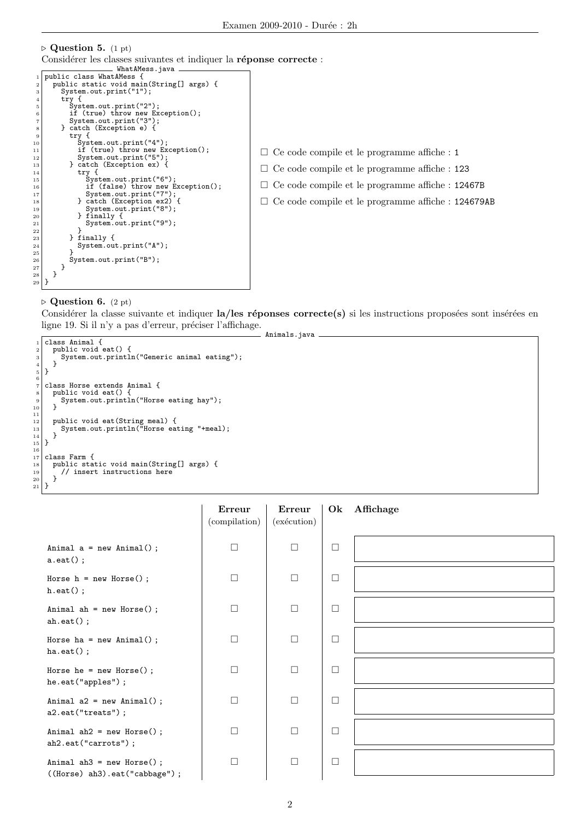```
\triangleright Question 5. (1 pt)
   Considérer les classes suivantes et indiquer la réponse correcte :
                                   WhatAMess.java
 1 public class WhatAMess {<br>2 public static yoid main
  2 public static void main(String[] args) {<br>3 System.out.print("1");
  4 try {<br>
5 System.out.print("2");<br>
if (true) throw new Exception();<br>
7 System.out.print("3");<br>
8 catch (Exception e) {
9 try {<br>
10 System.out.print("4");<br>
11 if (true) throw new Exception();<br>
12 System.out.print("5");<br>
3 catch (Exception ex) {<br>
14 try {
15 System.out.print("6");<br>
16 if (false) throw new Exception();<br>
17 System.out.print("7");<br>
25 catch (Exception ex2) {
18<br>
19 System.out.print("8");<br>
20 finally {<br>
19 finally {
\begin{array}{c|c} 20 & \text{3} & \text{5} \\ 21 & \text{6} & \text{6} \\ 22 & \text{7} & \text{7} \end{array}\begin{bmatrix} 21 \\ 22 \end{bmatrix} System.out.print("9");
22 }
\begin{array}{c} 23 \\ 24 \end{array} } finally {<br>System.ou
                   System.out.print("A");
\frac{25}{26}System.out.print("B");}
\begin{array}{c|c} 27 & \\ 28 & \end{array}\begin{array}{c} 28 \ 29 \end{array} }
                                                                                                     \Box Ce code compile et le programme affiche : 1
                                                                                                      Ce code compile et le programme affiche : 123
                                                                                                      Ce code compile et le programme affiche : 12467B
                                                                                                      Ce code compile et le programme affiche : 124679AB
```
## $\triangleright$  Question 6. (2 pt)

Considérer la classe suivante et indiquer la/les réponses correcte(s) si les instructions proposées sont insérées en ligne 19. Si il n'y a pas d'erreur, préciser l'affichage. Animals.java

```
\begin{array}{c} \n\frac{1}{2} \text{ class Animal } \{ \text{ } \n\end{array}2<br>
public void eat() {<br>
System.out.printl
          system.out.println("Generic animal eating");<br>}
  4 \vert }
     5 }
  6
  7 class Horse extends Animal {
8 public void eat() {
 9 System.out.println("Horse eating hay");<br>10 System.out.println("Horse eating hay");
10 }
11
12 public void eat(String meal) {<br>13 System.out.println("Horse eating "+meal);
\begin{array}{c} 14 \\ 15 \end{array} }
16
\begin{array}{c} 17 \\ 18 \end{array} class Farm {
<sup>18</sup> public static void main(String[] args) {<br>19 // insert instructions here
          ' // insert instructions here<br>}
\begin{matrix} 20 \\ 21 \end{matrix} }
\overline{21}
```

|                                                               | Erreur<br>(compilation) | Erreur<br>(exécution) |        | Ok Affichage |
|---------------------------------------------------------------|-------------------------|-----------------------|--------|--------------|
| Animal $a = new Animal()$ ;<br>$a.\text{eat()};$              | $\Box$                  | $\Box$                | $\Box$ |              |
| Horse $h = new Horse()$ ;<br>$h.eat()$ ;                      | $\Box$                  | $\Box$                | $\Box$ |              |
| Animal ah = $new$ Horse();<br>$ah.$ eat $()$ ;                | П                       | $\Box$                | $\Box$ |              |
| Horse ha = $new Animal()$ ;<br>$ha.get()$ ;                   | П                       | П                     | $\Box$ |              |
| Horse he = $new$ Horse();<br>he.eat("apples");                | $\Box$                  | $\Box$                | $\Box$ |              |
| Animal $a2 = new Animal()$ ;<br>a2.eat("treats");             | $\Box$                  | $\Box$                | $\Box$ |              |
| Animal $ah2 = new Horse()$ ;<br>ah2.eat("carrots");           | П                       | П                     | $\Box$ |              |
| Animal ah $3$ = new Horse();<br>((Horse) ah3).eat("cabbage"); | $\Box$                  | $\Box$                | $\Box$ |              |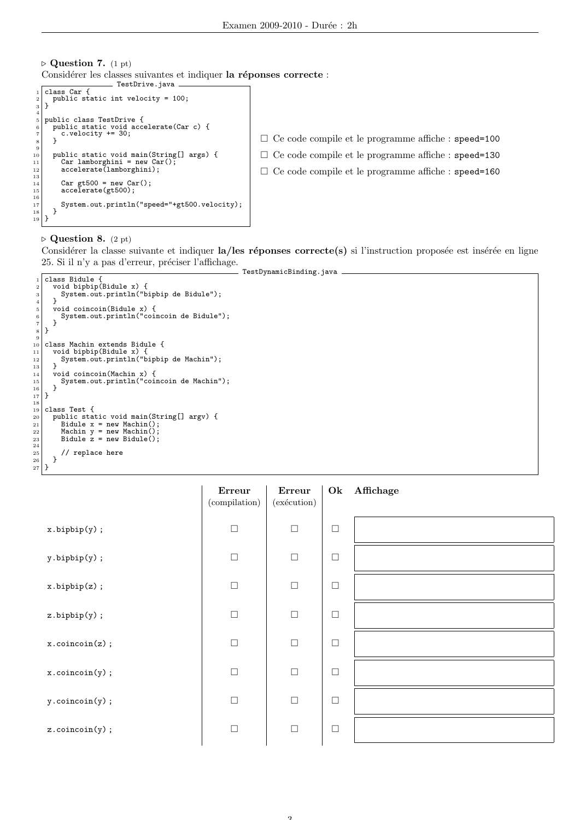$\triangleright$  Question 7. (1 pt) Considérer les classes suivantes et indiquer la réponses correcte : TestDrive.java

```
\frac{1}{2} class Car {<br>
public static int velocity = 100;
    \overline{3}\begin{array}{c} 3 \\ 4 \\ 5 \end{array}5 public class TestDrive {
6 public static void accelerate(Car c) {
7 c.velocity += 30;
        \overline{B}\begin{array}{c} 8 \\ 9 \\ 10 \end{array}10 public static void main(String[] args) {
11 Car lamborghini = new Car();
12 accelerate(lamborghini);
\begin{array}{c} 13 \\ 14 \end{array}14 Car gt500 = new Car();
15 accelerate(gt500);
16
17 System.out.println("speed="+gt500.velocity);<br>
\begin{array}{c} 17 \\ 18 \end{array}\begin{array}{c} 18 \\ 19 \end{array} }
                                                                                                        Ce code compile et le programme affiche : speed=100
                                                                                                       \Box Ce code compile et le programme affiche : speed=130
                                                                                                       \Box Ce code compile et le programme affiche : speed=160
```
## $\triangleright$  Question 8. (2 pt)

Considérer la classe suivante et indiquer la/les réponses correcte(s) si l'instruction proposée est insérée en ligne 25. Si il n'y a pas d'erreur, préciser l'affichage. TestDynamicBinding.java

```
1 class Bidule {<br>2 void bipbip(Bidule x) {<br>4 system.out.println("bipbip de Bidule");<br>4 }
   5 void coincoin(Bidule x) {
6 System.out.println("coincoin de Bidule");
 7 }
      |}
\begin{array}{c} 8 \\ 9 \\ 10 \end{array}10 class Machin extends Bidule {<br>11 void bipbip(Bidule x) {
11 void bipbip(Bidule x) {<br>12 System.out.println("bipbip de Machin");
\begin{array}{c} 13 \\ 14 \end{array} }
14 void coincoin(Machin x) {<br>15 System.out.println("coincoin de Machin");
\begin{array}{c|c} 15 & & \\ 16 & & \\ 17 & & \end{array}\begin{array}{c} 17 \\ 18 \end{array} }
\begin{bmatrix} 19 \\ 20 \end{bmatrix} class Test {
20 public static void main(String[] argv) {<br>
21 Bidule x = new Machin();<br>
22 Machin y = new Machin();<br>
Bidule z = new Bidule();
\begin{array}{c} 23 \\ 24 \\ 25 \end{array}\begin{array}{c|c} 25 & // \text{ replace here} \\ 26 & \end{array}\mathcal{F}\frac{27}{27} }
```

|                                  | Erreur<br>(compilation) | Erreur<br>(exécution) | Ok     | Affichage |
|----------------------------------|-------------------------|-----------------------|--------|-----------|
| $x.bipbip(y)$ ;                  | $\Box$                  | $\Box$                | $\Box$ |           |
| $y.bipbip(y)$ ;                  | $\Box$                  | $\Box$                | $\Box$ |           |
| $x.bipbip(z)$ ;                  | $\Box$                  | $\Box$                | $\Box$ |           |
| $z.bipbip(y)$ ;                  | $\Box$                  | $\Box$                | $\Box$ |           |
| $x.\text{coincoin}(z)$ ;         | $\Box$                  | $\Box$                | $\Box$ |           |
| $x.\text{coincoin}(y)$ ;         | $\Box$                  | $\Box$                | $\Box$ |           |
| $y.\text{coincoin}(y)$ ;         | $\Box$                  | $\Box$                | $\Box$ |           |
| $z.\operatorname{coincoin}(y)$ ; | $\Box$                  | $\Box$                | $\Box$ |           |